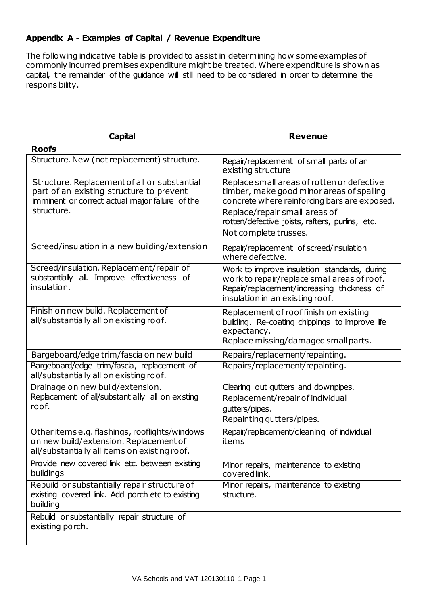## **Appendix A - Examples of Capital / Revenue Expenditure**

The following indicative table is provided to assist in determining how some examples of commonly incurred premises expenditure might be treated. Where expenditure is shown as capital, the remainder of the guidance will still need to be considered in order to determine the responsibility.

| Capital                                                                                                                                                   | <b>Revenue</b>                                                                                                                                                                                                                                       |
|-----------------------------------------------------------------------------------------------------------------------------------------------------------|------------------------------------------------------------------------------------------------------------------------------------------------------------------------------------------------------------------------------------------------------|
| <b>Roofs</b>                                                                                                                                              |                                                                                                                                                                                                                                                      |
| Structure. New (not replacement) structure.                                                                                                               | Repair/replacement of small parts of an<br>existing structure                                                                                                                                                                                        |
| Structure. Replacement of all or substantial<br>part of an existing structure to prevent<br>imminent or correct actual major failure of the<br>structure. | Replace small areas of rotten or defective<br>timber, make good minor areas of spalling<br>concrete where reinforcing bars are exposed.<br>Replace/repair small areas of<br>rotten/defective joists, rafters, purlins, etc.<br>Not complete trusses. |
| Screed/insulation in a new building/extension                                                                                                             | Repair/replacement of screed/insulation<br>where defective.                                                                                                                                                                                          |
| Screed/insulation. Replacement/repair of<br>substantially all. Improve effectiveness of<br>insulation.                                                    | Work to improve insulation standards, during<br>work to repair/replace small areas of roof.<br>Repair/replacement/increasing thickness of<br>insulation in an existing roof.                                                                         |
| Finish on new build. Replacement of<br>all/substantially all on existing roof.                                                                            | Replacement of roof finish on existing<br>building. Re-coating chippings to improve life<br>expectancy.<br>Replace missing/damaged small parts.                                                                                                      |
| Bargeboard/edge trim/fascia on new build                                                                                                                  | Repairs/replacement/repainting.                                                                                                                                                                                                                      |
| Bargeboard/edge trim/fascia, replacement of<br>all/substantially all on existing roof.                                                                    | Repairs/replacement/repainting.                                                                                                                                                                                                                      |
| Drainage on new build/extension.<br>Replacement of all/substantially all on existing<br>roof.                                                             | Clearing out gutters and downpipes.<br>Replacement/repair of individual<br>gutters/pipes.<br>Repainting gutters/pipes.                                                                                                                               |
| Other items e.g. flashings, rooflights/windows<br>on new build/extension. Replacement of<br>all/substantially all items on existing roof.                 | Repair/replacement/cleaning of individual<br>items                                                                                                                                                                                                   |
| Provide new covered link etc. between existing<br>buildings                                                                                               | Minor repairs, maintenance to existing<br>covered link.                                                                                                                                                                                              |
| Rebuild or substantially repair structure of<br>existing covered link. Add porch etc to existing<br>building                                              | Minor repairs, maintenance to existing<br>structure.                                                                                                                                                                                                 |
| Rebuild or substantially repair structure of<br>existing porch.                                                                                           |                                                                                                                                                                                                                                                      |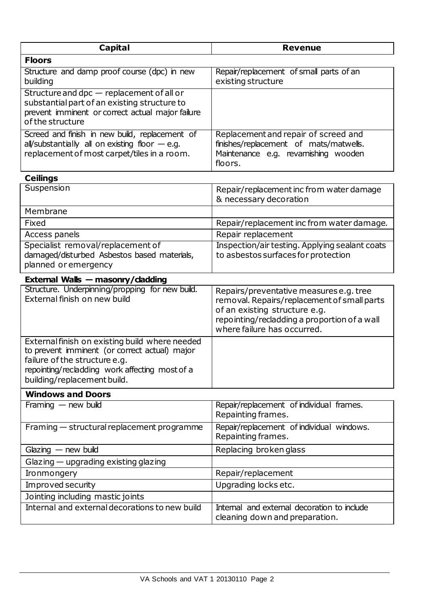| <b>Capital</b>                                                                                                                                                                                                    | <b>Revenue</b>                                                                                                                                                                                         |
|-------------------------------------------------------------------------------------------------------------------------------------------------------------------------------------------------------------------|--------------------------------------------------------------------------------------------------------------------------------------------------------------------------------------------------------|
| <b>Floors</b>                                                                                                                                                                                                     |                                                                                                                                                                                                        |
| Structure and damp proof course (dpc) in new<br>building                                                                                                                                                          | Repair/replacement of small parts of an<br>existing structure                                                                                                                                          |
| Structure and dpc - replacement of all or<br>substantial part of an existing structure to<br>prevent imminent or correct actual major failure<br>of the structure                                                 |                                                                                                                                                                                                        |
| Screed and finish in new build, replacement of<br>all/substantially all on existing floor $-$ e.g.<br>replacement of most carpet/tiles in a room.                                                                 | Replacement and repair of screed and<br>finishes/replacement of mats/matwells.<br>Maintenance e.g. revamishing wooden<br>floors.                                                                       |
| <b>Ceilings</b>                                                                                                                                                                                                   |                                                                                                                                                                                                        |
| Suspension                                                                                                                                                                                                        | Repair/replacement inc from water damage<br>& necessary decoration                                                                                                                                     |
| Membrane                                                                                                                                                                                                          |                                                                                                                                                                                                        |
| Fixed                                                                                                                                                                                                             | Repair/replacement inc from water damage.                                                                                                                                                              |
| Access panels                                                                                                                                                                                                     | Repair replacement                                                                                                                                                                                     |
| Specialist removal/replacement of<br>damaged/disturbed Asbestos based materials,<br>planned or emergency                                                                                                          | Inspection/air testing. Applying sealant coats<br>to asbestos surfaces for protection                                                                                                                  |
| External Walls - masonry/dadding                                                                                                                                                                                  |                                                                                                                                                                                                        |
| Structure. Underpinning/propping for new build.<br>External finish on new build                                                                                                                                   | Repairs/preventative measures e.g. tree<br>removal. Repairs/replacement of small parts<br>of an existing structure e.g.<br>repointing/recladding a proportion of a wall<br>where failure has occurred. |
| External finish on existing build where needed<br>to prevent imminent (or correct actual) major<br>failure of the structure e.g.<br>repointing/recladding work affecting most of a<br>building/replacement build. |                                                                                                                                                                                                        |
| <b>Windows and Doors</b>                                                                                                                                                                                          |                                                                                                                                                                                                        |
| Framing $-$ new build                                                                                                                                                                                             | Repair/replacement of individual frames.<br>Repainting frames.                                                                                                                                         |
| Framing - structural replacement programme                                                                                                                                                                        | Repair/replacement of individual windows.<br>Repainting frames.                                                                                                                                        |
| $G$ lazing $-$ new build                                                                                                                                                                                          | Replacing broken glass                                                                                                                                                                                 |
| $G$ lazing $-$ upgrading existing glazing                                                                                                                                                                         |                                                                                                                                                                                                        |
| Ironmongery                                                                                                                                                                                                       | Repair/replacement                                                                                                                                                                                     |
| Improved security                                                                                                                                                                                                 | Upgrading locks etc.                                                                                                                                                                                   |
| Jointing including mastic joints                                                                                                                                                                                  |                                                                                                                                                                                                        |
| Internal and external decorations to new build                                                                                                                                                                    | Internal and external decoration to include<br>cleaning down and preparation.                                                                                                                          |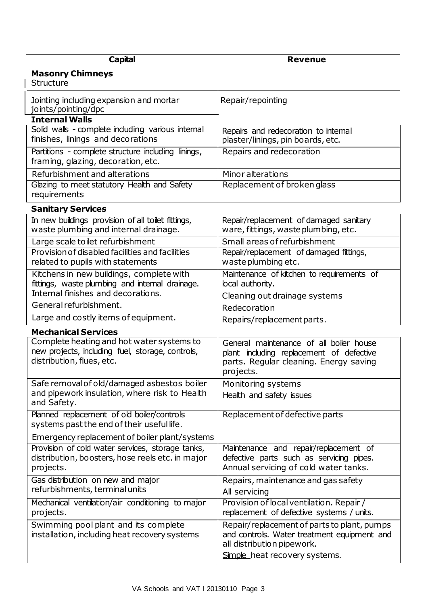| <b>Capital</b>                                                                                                             | <b>Revenue</b>                                                                                                                             |
|----------------------------------------------------------------------------------------------------------------------------|--------------------------------------------------------------------------------------------------------------------------------------------|
| <b>Masonry Chimneys</b>                                                                                                    |                                                                                                                                            |
| Structure                                                                                                                  |                                                                                                                                            |
| Jointing including expansion and mortar<br>joints/pointing/dpc                                                             | Repair/repointing                                                                                                                          |
| <b>Internal Walls</b><br>Solid walls - complete including various internal                                                 |                                                                                                                                            |
| finishes, linings and decorations                                                                                          | Repairs and redecoration to internal<br>plaster/linings, pin boards, etc.                                                                  |
| Partitions - complete structure including linings,<br>framing, glazing, decoration, etc.                                   | Repairs and redecoration                                                                                                                   |
| Refurbishment and alterations                                                                                              | <b>Minor alterations</b>                                                                                                                   |
| Glazing to meet statutory Health and Safety<br>requirements                                                                | Replacement of broken glass                                                                                                                |
| <b>Sanitary Services</b>                                                                                                   |                                                                                                                                            |
| In new buildings provision of all toilet fittings,<br>waste plumbing and internal drainage.                                | Repair/replacement of damaged sanitary<br>ware, fittings, waste plumbing, etc.                                                             |
| Large scale toilet refurbishment                                                                                           | Small areas of refurbishment                                                                                                               |
| Provision of disabled facilities and facilities<br>related to pupils with statements                                       | Repair/replacement of damaged fittings,<br>waste plumbing etc.                                                                             |
| Kitchens in new buildings, complete with                                                                                   | Maintenance of kitchen to requirements of                                                                                                  |
| fittings, waste plumbing and internal drainage.<br>Internal finishes and decorations.                                      | local authority.                                                                                                                           |
| General refurbishment.                                                                                                     | Cleaning out drainage systems                                                                                                              |
|                                                                                                                            | Redecoration                                                                                                                               |
| Large and costly items of equipment.                                                                                       | Repairs/replacement parts.                                                                                                                 |
| <b>Mechanical Services</b>                                                                                                 |                                                                                                                                            |
| Complete heating and hot water systems to<br>new projects, including fuel, storage, controls,<br>distribution, flues, etc. | General maintenance of all boiler house<br>plant including replacement of defective<br>parts. Regular cleaning. Energy saving<br>projects. |
| Safe removal of old/damaged asbestos boiler                                                                                | Monitoring systems                                                                                                                         |
| and pipework insulation, where risk to Health<br>and Safety.                                                               | Health and safety issues                                                                                                                   |
| Planned replacement of old boiler/controls<br>systems past the end of their useful life.                                   | Replacement of defective parts                                                                                                             |
| Emergency replacement of boiler plant/systems                                                                              |                                                                                                                                            |
| Provision of cold water services, storage tanks,<br>distribution, boosters, hose reels etc. in major<br>projects.          | Maintenance and repair/replacement of<br>defective parts such as servicing pipes.<br>Annual servicing of cold water tanks.                 |
| Gas distribution on new and major<br>refurbishments, terminal units                                                        | Repairs, maintenance and gas safety<br>All servicing                                                                                       |
| Mechanical ventilation/air conditioning to major<br>projects.                                                              | Provision of local ventilation. Repair /<br>replacement of defective systems / units.                                                      |
| Swimming pool plant and its complete<br>installation, including heat recovery systems                                      | Repair/replacement of parts to plant, pumps<br>and controls. Water treatment equipment and<br>all distribution pipework.                   |
|                                                                                                                            | Simple heat recovery systems.                                                                                                              |